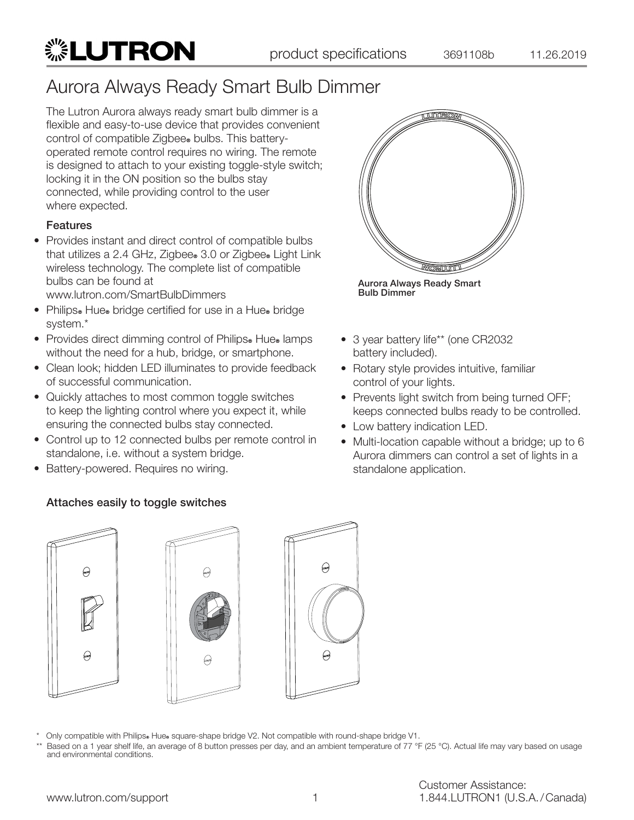The Lutron Aurora always ready smart bulb dimmer is a flexible and easy-to-use device that provides convenient control of compatible Zigbee<sup>®</sup> bulbs. This batteryoperated remote control requires no wiring. The remote is designed to attach to your existing toggle-style switch; locking it in the ON position so the bulbs stay connected, while providing control to the user where expected.

#### **Features**

• Provides instant and direct control of compatible bulbs that utilizes a 2.4 GHz, Zigbee. 3.0 or Zigbee. Light Link wireless technology. The complete list of compatible bulbs can be found at

www.lutron.com/SmartBulbDimmers

▒LUTRON

- Philips. Hue. bridge certified for use in a Hue. bridge system.\*
- Provides direct dimming control of Philips. Hue. lamps without the need for a hub, bridge, or smartphone.
- Clean look; hidden LED illuminates to provide feedback of successful communication.
- Quickly attaches to most common toggle switches to keep the lighting control where you expect it, while ensuring the connected bulbs stay connected.
- Control up to 12 connected bulbs per remote control in standalone, i.e. without a system bridge.
- Battery-powered. Requires no wiring.



Aurora Always Ready Smart Bulb Dimmer

- 3 year battery life\*\* (one CR2032 battery included).
- Rotary style provides intuitive, familiar control of your lights.
- Prevents light switch from being turned OFF; keeps connected bulbs ready to be controlled.
- Low battery indication LED.
- Multi-location capable without a bridge; up to 6 Aurora dimmers can control a set of lights in a standalone application.

### Attaches easily to toggle switches



Only compatible with Philips® Hue® square-shape bridge V2. Not compatible with round-shape bridge V1.

Based on a 1 year shelf life, an average of 8 button presses per day, and an ambient temperature of 77 °F (25 °C). Actual life may vary based on usage and environmental conditions.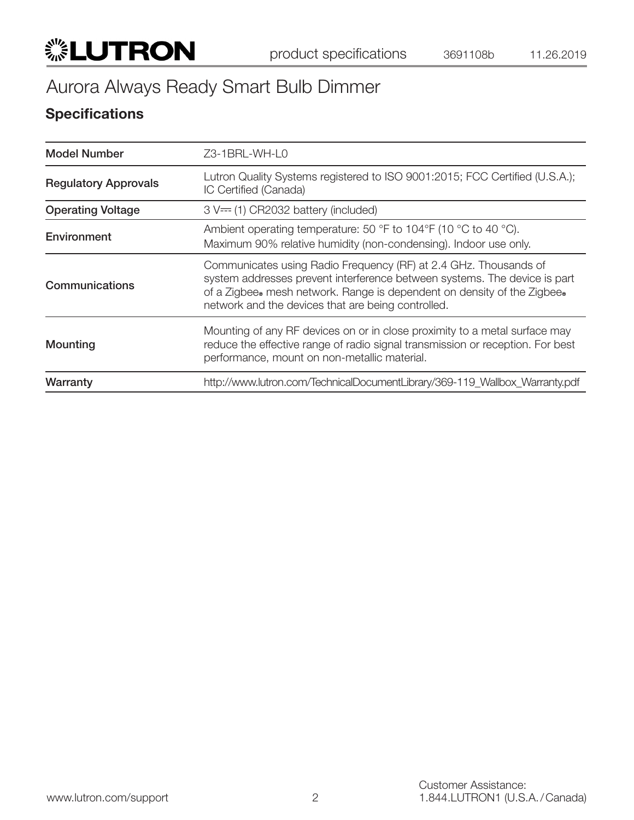

## **Specifications**

| <b>Model Number</b>         | Z3-1BRL-WH-L0                                                                                                                                                                                                                                                                  |
|-----------------------------|--------------------------------------------------------------------------------------------------------------------------------------------------------------------------------------------------------------------------------------------------------------------------------|
| <b>Regulatory Approvals</b> | Lutron Quality Systems registered to ISO 9001:2015; FCC Certified (U.S.A.);<br>IC Certified (Canada)                                                                                                                                                                           |
| <b>Operating Voltage</b>    | $3 V==$ (1) CR2032 battery (included)                                                                                                                                                                                                                                          |
| Environment                 | Ambient operating temperature: 50 $\degree$ F to 104 $\degree$ F (10 $\degree$ C to 40 $\degree$ C).<br>Maximum 90% relative humidity (non-condensing). Indoor use only.                                                                                                       |
| Communications              | Communicates using Radio Frequency (RF) at 2.4 GHz. Thousands of<br>system addresses prevent interference between systems. The device is part<br>of a Zigbee. mesh network. Range is dependent on density of the Zigbee.<br>network and the devices that are being controlled. |
| Mounting                    | Mounting of any RF devices on or in close proximity to a metal surface may<br>reduce the effective range of radio signal transmission or reception. For best<br>performance, mount on non-metallic material.                                                                   |
| Warranty                    | http://www.lutron.com/TechnicalDocumentLibrary/369-119 Wallbox Warranty.pdf                                                                                                                                                                                                    |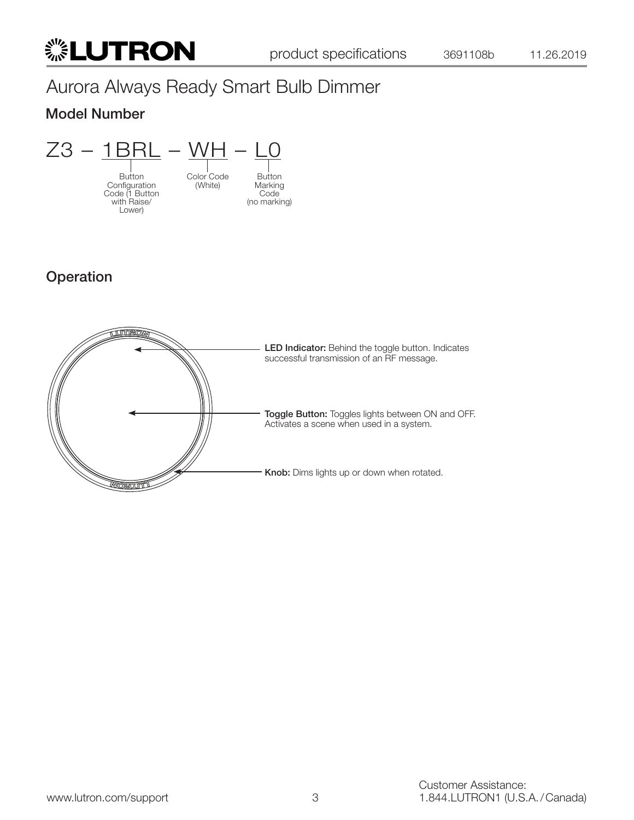## Model Number



## Operation

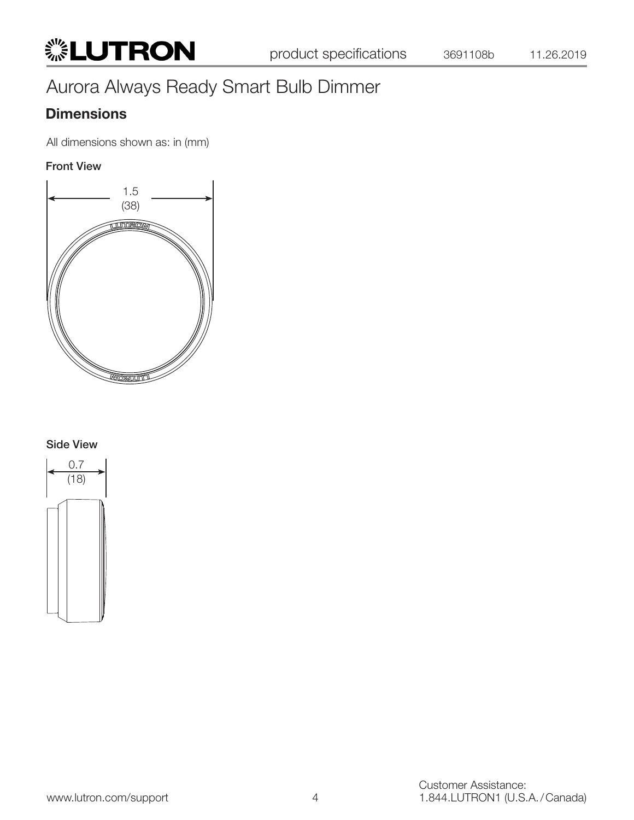## **Dimensions**

All dimensions shown as: in (mm)

#### Front View



#### Side View